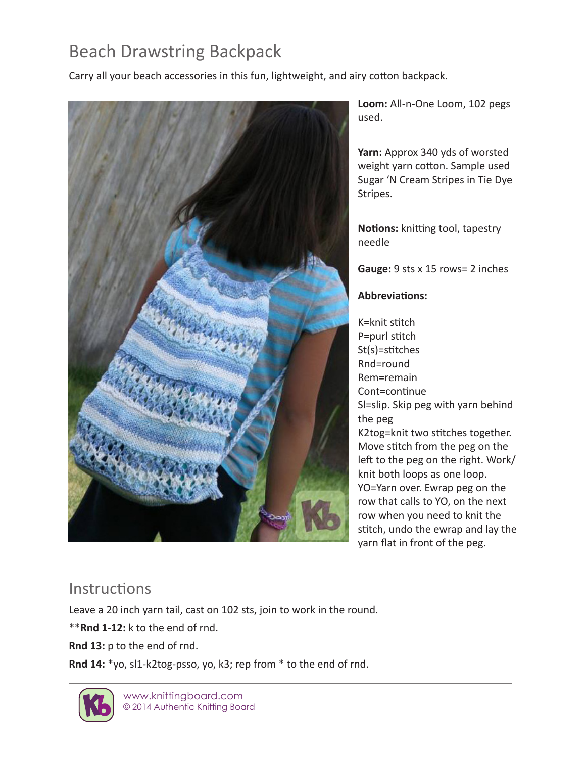# Beach Drawstring Backpack

Carry all your beach accessories in this fun, lightweight, and airy cotton backpack.



**Loom:** All-n-One Loom, 102 pegs used.

**Yarn:** Approx 340 yds of worsted weight yarn cotton. Sample used Sugar 'N Cream Stripes in Tie Dye Stripes.

**Notions:** knitting tool, tapestry needle

**Gauge:** 9 sts x 15 rows= 2 inches

#### **Abbreviations:**

K=knit stitch P=purl stitch St(s)=stitches Rnd=round Rem=remain Cont=continue Sl=slip. Skip peg with yarn behind the peg K2tog=knit two stitches together. Move stitch from the peg on the left to the peg on the right. Work/ knit both loops as one loop. YO=Yarn over. Ewrap peg on the row that calls to YO, on the next row when you need to knit the stitch, undo the ewrap and lay the yarn flat in front of the peg.

## **Instructions**

Leave a 20 inch yarn tail, cast on 102 sts, join to work in the round.

\*\***Rnd 1-12:** k to the end of rnd.

**Rnd 13:** p to the end of rnd.

Rnd 14: \*yo, sl1-k2tog-psso, yo, k3; rep from \* to the end of rnd.